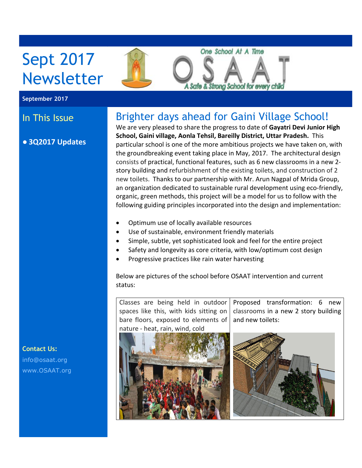

#### **September 2017**

### ● **3Q2017 Updates**

## In This Issue Brighter days ahead for Gaini Village School!

We are very pleased to share the progress to date of **Gayatri Devi Junior High School, Gaini village, Aonla Tehsil, Bareilly District, Uttar Pradesh.** This particular school is one of the more ambitious projects we have taken on, with the groundbreaking event taking place in May, 2017. The architectural design consists of practical, functional features, such as 6 new classrooms in a new 2 story building and refurbishment of the existing toilets, and construction of 2 new toilets. Thanks to our partnership with Mr. Arun Nagpal of Mrida Group, an organization dedicated to sustainable rural development using eco-friendly, organic, green methods, this project will be a model for us to follow with the following guiding principles incorporated into the design and implementation:

- Optimum use of locally available resources
- Use of sustainable, environment friendly materials
- Simple, subtle, yet sophisticated look and feel for the entire project
- Safety and longevity as core criteria, with low/optimum cost design
- Progressive practices like rain water harvesting

Below are pictures of the school before OSAAT intervention and current status:





**Contact Us:** [info@osaat.org](mailto:info@osaat.org) [www.OSAAT.org](http://www.osaat.org)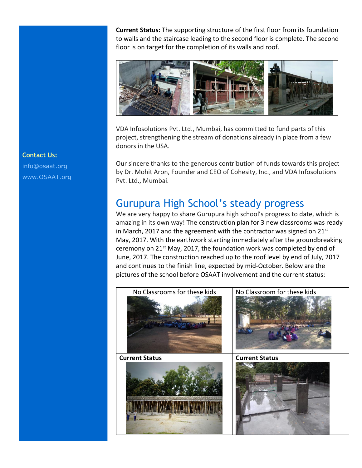**Current Status:** The supporting structure of the first floor from its foundation to walls and the staircase leading to the second floor is complete. The second floor is on target for the completion of its walls and roof.



VDA Infosolutions Pvt. Ltd., Mumbai, has committed to fund parts of this project, strengthening the stream of donations already in place from a few donors in the USA.

Our sincere thanks to the generous contribution of funds towards this project by Dr. Mohit Aron, Founder and CEO of Cohesity, Inc., and VDA Infosolutions Pvt. Ltd., Mumbai.

## Gurupura High School's steady progress

We are very happy to share Gurupura high school's progress to date, which is amazing in its own way! The construction plan for 3 new classrooms was ready in March, 2017 and the agreement with the contractor was signed on 21 $^{\rm st}$ May, 2017. With the earthwork starting immediately after the groundbreaking ceremony on 21<sup>st</sup> May, 2017, the foundation work was completed by end of June, 2017. The construction reached up to the roof level by end of July, 2017 and continues to the finish line, expected by mid-October. Below are the pictures of the school before OSAAT involvement and the current status:



### **Contact Us:**

[info@osaat.org](mailto:info@osaat.org) [www.OSAAT.org](http://www.osaat.org)